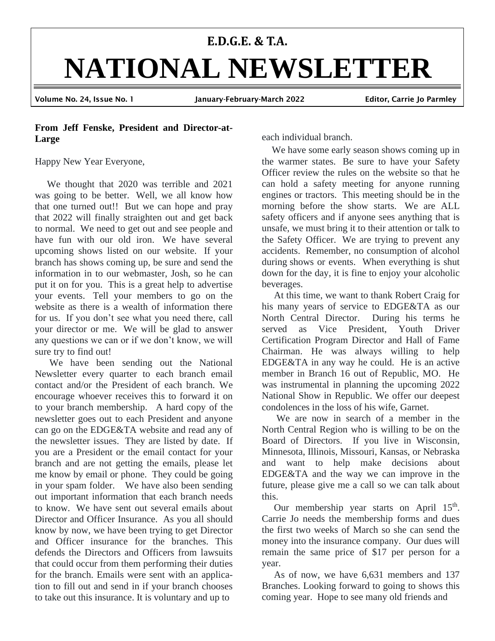# **E.D.G.E. & T.A. NATIONAL NEWSLETTER** Volume No. 24, Issue No. 1 January-February-March 2022 Editor, Carrie Jo Parmley

# **From Jeff Fenske, President and Director-at-Large**

Happy New Year Everyone,

 We thought that 2020 was terrible and 2021 was going to be better. Well, we all know how that one turned out!! But we can hope and pray that 2022 will finally straighten out and get back to normal. We need to get out and see people and have fun with our old iron. We have several upcoming shows listed on our website. If your branch has shows coming up, be sure and send the information in to our webmaster, Josh, so he can put it on for you. This is a great help to advertise your events. Tell your members to go on the website as there is a wealth of information there for us. If you don't see what you need there, call your director or me. We will be glad to answer any questions we can or if we don't know, we will sure try to find out!

We have been sending out the National Newsletter every quarter to each branch email contact and/or the President of each branch. We encourage whoever receives this to forward it on to your branch membership. A hard copy of the newsletter goes out to each President and anyone can go on the EDGE&TA website and read any of the newsletter issues. They are listed by date. If you are a President or the email contact for your branch and are not getting the emails, please let me know by email or phone. They could be going in your spam folder. We have also been sending out important information that each branch needs to know. We have sent out several emails about Director and Officer Insurance. As you all should know by now, we have been trying to get Director and Officer insurance for the branches. This defends the Directors and Officers from lawsuits that could occur from them performing their duties for the branch. Emails were sent with an application to fill out and send in if your branch chooses to take out this insurance. It is voluntary and up to

each individual branch.

We have some early season shows coming up in the warmer states. Be sure to have your Safety Officer review the rules on the website so that he can hold a safety meeting for anyone running engines or tractors. This meeting should be in the morning before the show starts. We are ALL safety officers and if anyone sees anything that is unsafe, we must bring it to their attention or talk to the Safety Officer. We are trying to prevent any accidents. Remember, no consumption of alcohol during shows or events. When everything is shut down for the day, it is fine to enjoy your alcoholic beverages.

 At this time, we want to thank Robert Craig for his many years of service to EDGE&TA as our North Central Director. During his terms he served as Vice President, Youth Driver Certification Program Director and Hall of Fame Chairman. He was always willing to help EDGE&TA in any way he could. He is an active member in Branch 16 out of Republic, MO. He was instrumental in planning the upcoming 2022 National Show in Republic. We offer our deepest condolences in the loss of his wife, Garnet.

 We are now in search of a member in the North Central Region who is willing to be on the Board of Directors. If you live in Wisconsin, Minnesota, Illinois, Missouri, Kansas, or Nebraska and want to help make decisions about EDGE&TA and the way we can improve in the future, please give me a call so we can talk about this.

Our membership year starts on April 15<sup>th</sup>. Carrie Jo needs the membership forms and dues the first two weeks of March so she can send the money into the insurance company. Our dues will remain the same price of \$17 per person for a year.

 As of now, we have 6,631 members and 137 Branches. Looking forward to going to shows this coming year. Hope to see many old friends and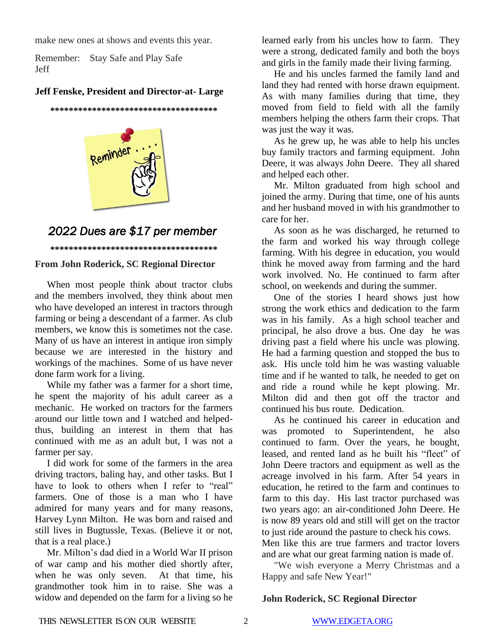make new ones at shows and events this year.

Remember: Stay Safe and Play Safe Jeff

# **Jeff Fenske, President and Director-at- Large**

**\*\*\*\*\*\*\*\*\*\*\*\*\*\*\*\*\*\*\*\*\*\*\*\*\*\*\*\*\*\*\*\*\*\*\*\***



# *2022 Dues are \$17 per member*

**\*\*\*\*\*\*\*\*\*\*\*\*\*\*\*\*\*\*\*\*\*\*\*\*\*\*\*\*\*\*\*\*\*\*\*\***

# **From John Roderick, SC Regional Director**

 When most people think about tractor clubs and the members involved, they think about men who have developed an interest in tractors through farming or being a descendant of a farmer. As club members, we know this is sometimes not the case. Many of us have an interest in antique iron simply because we are interested in the history and workings of the machines. Some of us have never done farm work for a living.

 While my father was a farmer for a short time, he spent the majority of his adult career as a mechanic. He worked on tractors for the farmers around our little town and I watched and helpedthus, building an interest in them that has continued with me as an adult but, I was not a farmer per say.

 I did work for some of the farmers in the area driving tractors, baling hay, and other tasks. But I have to look to others when I refer to "real" farmers. One of those is a man who I have admired for many years and for many reasons, Harvey Lynn Milton. He was born and raised and still lives in Bugtussle, Texas. (Believe it or not, that is a real place.)

 Mr. Milton's dad died in a World War II prison of war camp and his mother died shortly after, when he was only seven. At that time, his grandmother took him in to raise. She was a widow and depended on the farm for a living so he

learned early from his uncles how to farm. They were a strong, dedicated family and both the boys and girls in the family made their living farming.

 He and his uncles farmed the family land and land they had rented with horse drawn equipment. As with many families during that time, they moved from field to field with all the family members helping the others farm their crops. That was just the way it was.

 As he grew up, he was able to help his uncles buy family tractors and farming equipment. John Deere, it was always John Deere. They all shared and helped each other.

 Mr. Milton graduated from high school and joined the army. During that time, one of his aunts and her husband moved in with his grandmother to care for her.

 As soon as he was discharged, he returned to the farm and worked his way through college farming. With his degree in education, you would think he moved away from farming and the hard work involved. No. He continued to farm after school, on weekends and during the summer.

 One of the stories I heard shows just how strong the work ethics and dedication to the farm was in his family. As a high school teacher and principal, he also drove a bus. One day he was driving past a field where his uncle was plowing. He had a farming question and stopped the bus to ask. His uncle told him he was wasting valuable time and if he wanted to talk, he needed to get on and ride a round while he kept plowing. Mr. Milton did and then got off the tractor and continued his bus route. Dedication.

 As he continued his career in education and was promoted to Superintendent, he also continued to farm. Over the years, he bought, leased, and rented land as he built his "fleet" of John Deere tractors and equipment as well as the acreage involved in his farm. After 54 years in education, he retired to the farm and continues to farm to this day. His last tractor purchased was two years ago: an air-conditioned John Deere. He is now 89 years old and still will get on the tractor to just ride around the pasture to check his cows. Men like this are true farmers and tractor lovers and are what our great farming nation is made of.

 "We wish everyone a Merry Christmas and a Happy and safe New Year!"

# **John Roderick, SC Regional Director**